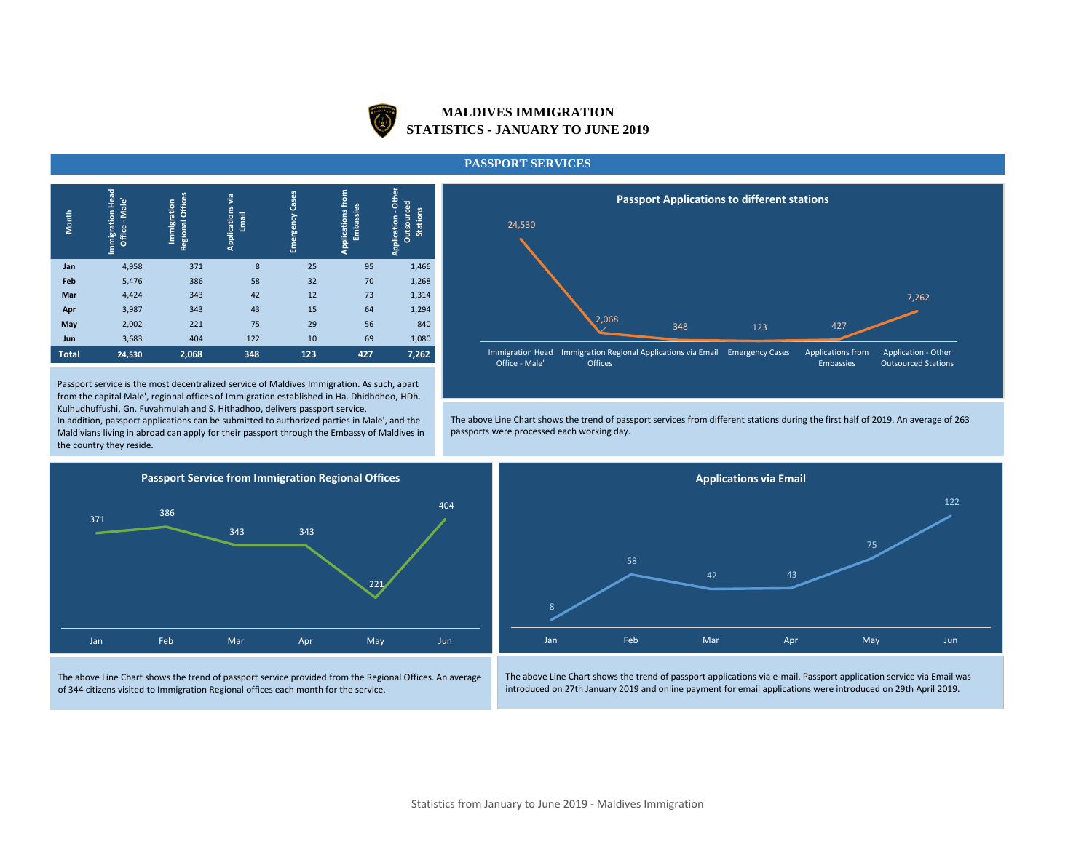

# **MALDIVES IMMIGRATION STATISTICS - JANUARY TO JUNE 2019**

#### **PASSPORT SERVICES**

| Month        | <b>Immigration Head</b><br>-Male'<br>Office | Regional Offices<br>Immigration | ٠ë<br>Applications<br>Email | Cases<br>Emergency | from<br>Embassies<br>Applications | Other<br><b>Outsourced</b><br><b>Stations</b><br>Application |
|--------------|---------------------------------------------|---------------------------------|-----------------------------|--------------------|-----------------------------------|--------------------------------------------------------------|
| Jan          | 4,958                                       | 371                             | 8                           | 25                 | 95                                | 1,466                                                        |
| Feb          | 5,476                                       | 386                             | 58                          | 32                 | 70                                | 1,268                                                        |
| Mar          | 4,424                                       | 343                             | 42                          | 12                 | 73                                | 1,314                                                        |
| Apr          | 3,987                                       | 343                             | 43                          | 15                 | 64                                | 1,294                                                        |
| May          | 2,002                                       | 221                             | 75                          | 29                 | 56                                | 840                                                          |
| Jun          | 3,683                                       | 404                             | 122                         | 10                 | 69                                | 1,080                                                        |
| <b>Total</b> | 24,530                                      | 2,068                           | 348                         | 123                | 427                               | 7,262                                                        |

Passport service is the most decentralized service of Maldives Immigration. As such, apart from the capital Male', regional offices of Immigration established in Ha. Dhidhdhoo, HDh. Kulhudhuffushi, Gn. Fuvahmulah and S. Hithadhoo, delivers passport service.

In addition, passport applications can be submitted to authorized parties in Male', and the Maldivians living in abroad can apply for their passport through the Embassy of Maldives in the country they reside.



The above Line Chart shows the trend of passport services from different stations during the first half of 2019. An average of 263 passports were processed each working day.



The above Line Chart shows the trend of passport service provided from the Regional Offices. An average of 344 citizens visited to Immigration Regional offices each month for the service.



The above Line Chart shows the trend of passport applications via e-mail. Passport application service via Email was introduced on 27th January 2019 and online payment for email applications were introduced on 29th April 2019.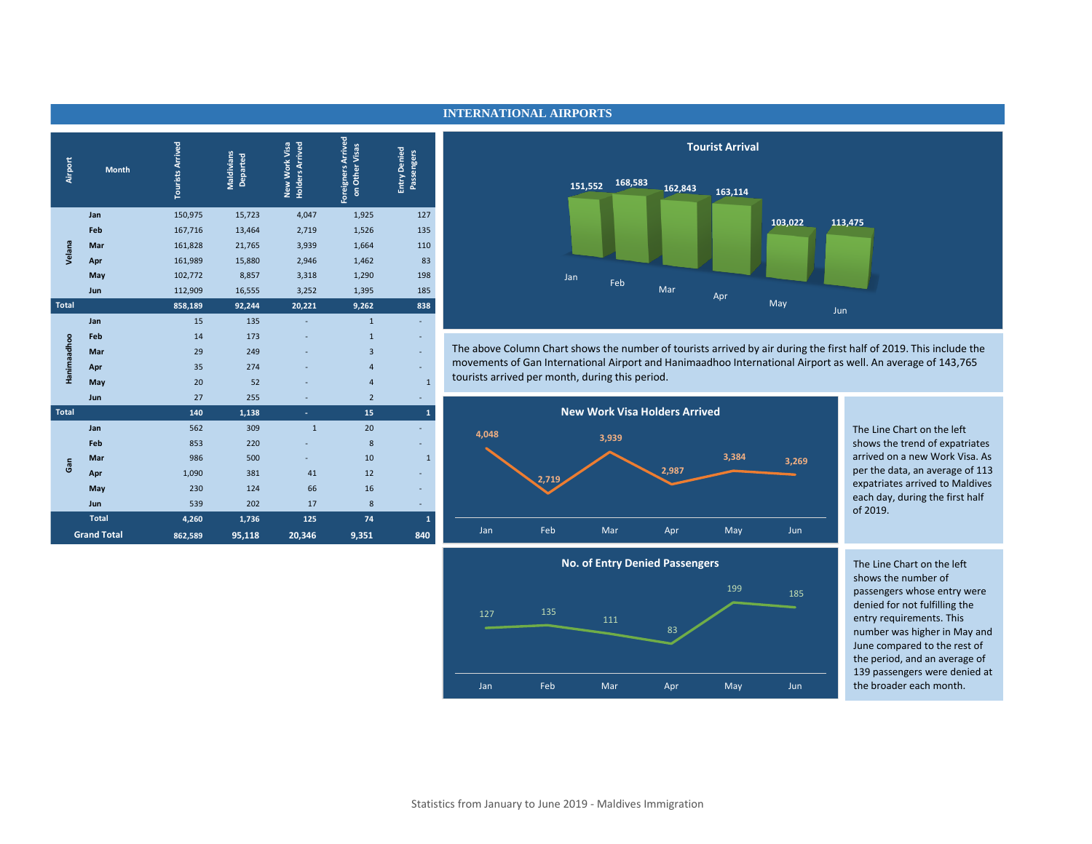|  |                         |                         |                        |                                         |                                             |                                   | <b>Tourist Arrival</b>                                            |
|--|-------------------------|-------------------------|------------------------|-----------------------------------------|---------------------------------------------|-----------------------------------|-------------------------------------------------------------------|
|  | Airport<br><b>Month</b> | <b>Tourists Arrived</b> | Maldivians<br>Departed | <b>Holders Arrived</b><br>New Work Visa | <b>Foreigners Arrived</b><br>on Other Visas | <b>Entry Denied</b><br>Passengers | 168,583<br>151,552<br>162,843<br>163,114                          |
|  | Jan                     | 150,975                 | 15,723                 | 4,047                                   | 1,925                                       | 127                               |                                                                   |
|  | Feb                     | 167,716                 | 13,464                 | 2,719                                   | 1,526                                       | 135                               |                                                                   |
|  | Velana<br>Mar           | 161,828                 | 21,765                 | 3,939                                   | 1,664                                       | 110                               |                                                                   |
|  | Apr                     | 161,989                 | 15,880                 | 2,946                                   | 1,462                                       | 83                                |                                                                   |
|  | May                     | 102,772                 | 8,857                  | 3,318                                   | 1,290                                       | 198                               | Jan<br>Feb                                                        |
|  | <b>Jun</b>              | 112,909                 | 16,555                 | 3,252                                   | 1,395                                       | 185                               | Mar<br>Apr                                                        |
|  | <b>Total</b>            | 858,189                 | 92,244                 | 20,221                                  | 9,262                                       | 838                               |                                                                   |
|  | Jan                     | 15                      | 135                    |                                         | $\mathbf{1}$                                | $\sim$                            |                                                                   |
|  | Feb                     | 14                      | 173                    |                                         | $\mathbf{1}$                                | $\overline{\phantom{a}}$          |                                                                   |
|  | Hanimaadhoo<br>Mar      | 29                      | 249                    |                                         | $\overline{3}$                              | $\sim$                            | The above Column Chart shows the number of tourists arrived by ai |
|  | Apr                     | 35                      | 274                    |                                         | $\overline{4}$                              | ٠                                 | movements of Gan International Airport and Hanimaadhoo Internat   |
|  | May                     | 20                      | 52                     |                                         | $\overline{4}$                              | $\mathbf{1}$                      | tourists arrived per month, during this period.                   |
|  | <b>Jun</b>              | 27                      | 255                    |                                         | $\overline{2}$                              |                                   |                                                                   |
|  | <b>Total</b>            | 140                     | 1,138                  | $\sim$                                  | 15                                          | $\mathbf{1}$                      | <b>New Work Visa Holders Arrived</b>                              |
|  | Jan                     | 562                     | 309                    | $\mathbf{1}$                            | 20                                          |                                   | 4,048                                                             |
|  | Feb                     | 853                     | 220                    |                                         | 8                                           | ٠                                 | 3,939                                                             |
|  | Mar<br>Gan              | 986                     | 500                    |                                         | 10                                          | $\mathbf{1}$                      | 3,384                                                             |
|  | Apr                     | 1,090                   | 381                    | 41                                      | 12                                          |                                   | 2,987<br>2,719                                                    |
|  | May                     | 230                     | 124                    | 66                                      | 16                                          |                                   |                                                                   |
|  | Jun                     | 539                     | 202                    | 17                                      | 8                                           | ٠                                 |                                                                   |
|  | <b>Total</b>            | 4,260                   | 1,736                  | 125                                     | 74                                          | $\mathbf{1}$                      |                                                                   |
|  | <b>Grand Total</b>      | 862,589                 | 95,118                 | 20,346                                  | 9,351                                       | 840                               | Feb<br>Jan<br>Mar<br>May<br>Apr                                   |

### **INTERNATIONAL AIRPORTS**



The above Column Chart shows the number of tourists arrived by air during the first half of 2019. This include the movements of Gan International Airport and Hanimaadhoo International Airport as well. An average of 143,765 tourists arrived per month, during this period.



The Line Chart on the left shows the trend of expatriates arrived on a new Work Visa. As per the data, an average of 113 expatriates arrived to Maldives each day, during the first half of 2019.



The Line Chart on the left shows the number of passengers whose entry were denied for not fulfilling the entry requirements. This number was higher in May and June compared to the rest of the period, and an average of 139 passengers were denied at the broader each month.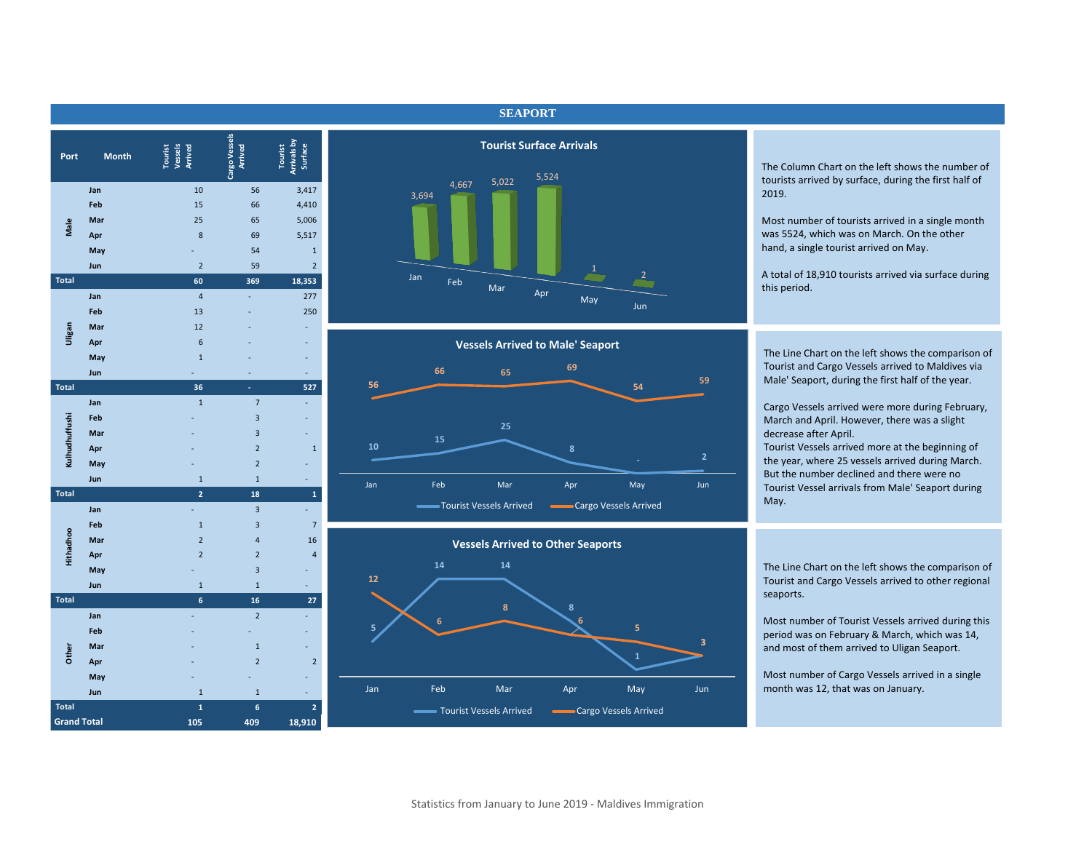| Port               | <b>Month</b> | Tourist<br>Vessels<br>Arrived | Cargo Vessels<br><b>Arrived</b> | Arrivals by<br>Surface<br><b>Tourist</b> | <b>Tourist Surfa</b>      |
|--------------------|--------------|-------------------------------|---------------------------------|------------------------------------------|---------------------------|
|                    | Jan          | 10                            | 56                              | 3,417                                    | 5,5<br>5,022<br>4,667     |
|                    | Feb          | 15                            | 66                              | 4,410                                    | 3,694                     |
|                    | Mar          | 25                            | 65                              | 5,006                                    |                           |
| Male               | Apr          | 8                             | 69                              | 5,517                                    |                           |
|                    | May          |                               | 54                              | $\mathbf 1$                              |                           |
|                    | Jun          | $\overline{2}$                | 59                              | $\overline{2}$                           |                           |
| <b>Total</b>       |              | 60                            | 369                             | 18,353                                   | Jan<br>Feb                |
|                    | Jan          | $\overline{\mathbf{4}}$       | L,                              | 277                                      | Mar<br>Apı                |
|                    | Feb          | 13                            |                                 | 250                                      |                           |
|                    | Mar          | 12                            |                                 |                                          |                           |
| Uligan             | Apr          | 6                             |                                 |                                          | <b>Vessels Arrived to</b> |
|                    | May          | $\mathbf 1$                   |                                 |                                          |                           |
|                    | Jun          |                               |                                 |                                          | 66<br>65                  |
| <b>Total</b>       |              | 36                            |                                 | 527                                      | 56                        |
|                    | Jan          | $\mathbf 1$                   | $\overline{7}$                  |                                          |                           |
|                    | Feb          |                               | 3                               |                                          |                           |
| Kulhudhuffushi     | Mar          |                               | 3                               |                                          | 25<br>15                  |
|                    | Apr          |                               | $\overline{2}$                  | $\mathbf 1$                              | 10                        |
|                    | May          |                               | $\overline{2}$                  |                                          |                           |
|                    | Jun          | $\mathbf{1}$                  | $\mathbf 1$                     |                                          | Feb<br>Mar<br>Jan         |
| <b>Total</b>       |              | $\overline{2}$                | 18                              | $\mathbf{1}$                             |                           |
|                    | Jan          |                               | $\overline{3}$                  |                                          | -Tourist Vessels Arrived  |
|                    | Feb          | $\mathbf 1$                   | 3                               | $\overline{7}$                           |                           |
| Hithadhoo          | Mar          | $\overline{2}$                | $\overline{4}$                  | 16                                       | <b>Vessels Arrived to</b> |
|                    | Apr          | $\overline{2}$                | $\overline{2}$                  | $\overline{4}$                           |                           |
|                    | May          |                               | 3                               |                                          | 14<br>14<br>12            |
|                    | Jun          | $1\,$                         | $\overline{1}$                  |                                          |                           |
| <b>Total</b>       |              | $6\phantom{a}$                | 16                              | 27                                       | $\pmb{8}$                 |
|                    | Jan          |                               | $\overline{2}$                  |                                          | 6                         |
|                    | Feb          |                               |                                 |                                          | 5                         |
| Other              | Mar          |                               | $\mathbf{1}$                    |                                          |                           |
|                    | Apr          |                               | $\overline{2}$                  | $\overline{2}$                           |                           |
|                    | May          |                               |                                 |                                          |                           |
|                    | Jun          | $\mathbf 1$                   | $\mathbf 1$                     |                                          | Jan<br>Feb<br>Mar         |
| <b>Total</b>       |              | $\mathbf{1}$                  | 6                               | $\overline{2}$                           | - Tourist Vessels Arrived |
| <b>Grand Total</b> |              | 105                           | 409                             | 18,910                                   |                           |

## **SEAPORT**



**10 15 25 8 56 66 65 <sup>69</sup> 54 59**  Jan Feb Mar Apr May Jun **Vessels Arrived to Male' Seaport** Tourist Vessels Arrived **Cargo Vessels Arrived** 



The Column Chart on the left shows the number of tourists arrived by surface, during the first half of 2019.

Most number of tourists arrived in a single month was 5524, which was on March. On the other hand, a single tourist arrived on May.

A total of 18,910 tourists arrived via surface during this period.

The Line Chart on the left shows the comparison of Tourist and Cargo Vessels arrived to Maldives via Male' Seaport, during the first half of the year.

Cargo Vessels arrived were more during February, March and April. However, there was a slight decrease after April.

Tourist Vessels arrived more at the beginning of the year, where 25 vessels arrived during March. But the number declined and there were no Tourist Vessel arrivals from Male' Seaport during May.

The Line Chart on the left shows the comparison of Tourist and Cargo Vessels arrived to other regional seaports.

Most number of Tourist Vessels arrived during this period was on February & March, which was 14, and most of them arrived to Uligan Seaport.

Most number of Cargo Vessels arrived in a single month was 12, that was on January.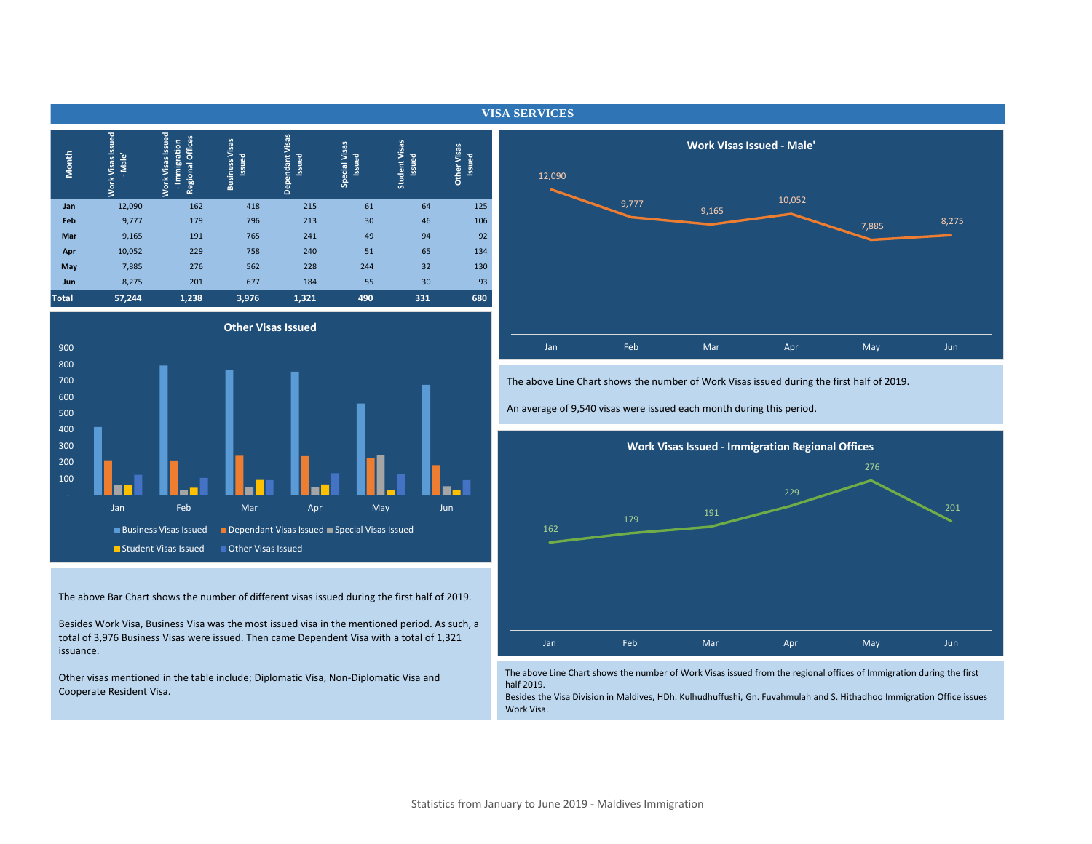| Month        | <b>Work Visas Issued</b><br>- Male' | <b>Work Visas Issued</b><br><b>Regional Offices</b><br>Immigration | <b>Business Visas</b><br>Issued | Visas<br><b>Issued</b><br>Dependant | <b>Special Visas</b><br><b>Issued</b> | Student Visas<br>Issued | <b>Other Visas</b><br><b>Issued</b> |
|--------------|-------------------------------------|--------------------------------------------------------------------|---------------------------------|-------------------------------------|---------------------------------------|-------------------------|-------------------------------------|
| Jan          | 12,090                              | 162                                                                | 418                             | 215                                 | 61                                    | 64                      | 125                                 |
| Feb          | 9,777                               | 179                                                                | 796                             | 213                                 | 30                                    | 46                      | 106                                 |
| Mar          | 9,165                               | 191                                                                | 765                             | 241                                 | 49                                    | 94                      | 92                                  |
| Apr          | 10,052                              | 229                                                                | 758                             | 240                                 | 51                                    | 65                      | 134                                 |
| May          | 7,885                               | 276                                                                | 562                             | 228                                 | 244                                   | 32                      | 130                                 |
| Jun          | 8,275                               | 201                                                                | 677                             | 184                                 | 55                                    | 30                      | 93                                  |
| <b>Total</b> | 57,244                              | 1,238                                                              | 3,976                           | 1,321                               | 490                                   | 331                     | 680                                 |



The above Bar Chart shows the number of different visas issued during the first half of 2019.

Besides Work Visa, Business Visa was the most issued visa in the mentioned period. As such, a total of 3,976 Business Visas were issued. Then came Dependent Visa with a total of 1,321 issuance.

Other visas mentioned in the table include; Diplomatic Visa, Non-Diplomatic Visa and Cooperate Resident Visa.



The above Line Chart shows the number of Work Visas issued during the first half of 2019.

An average of 9,540 visas were issued each month during this period.



The above Line Chart shows the number of Work Visas issued from the regional offices of Immigration during the first half 2019.

Besides the Visa Division in Maldives, HDh. Kulhudhuffushi, Gn. Fuvahmulah and S. Hithadhoo Immigration Office issues Work Visa.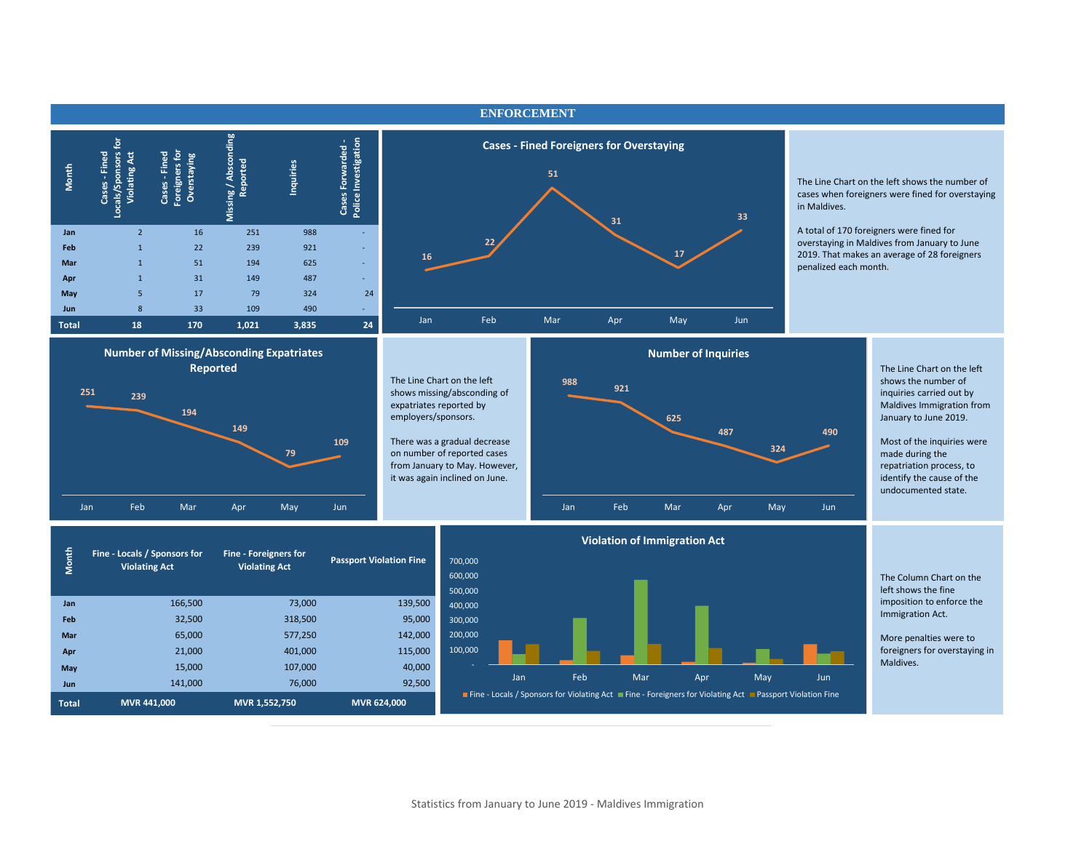

#### Statistics from January to June 2019 - Maldives Immigration